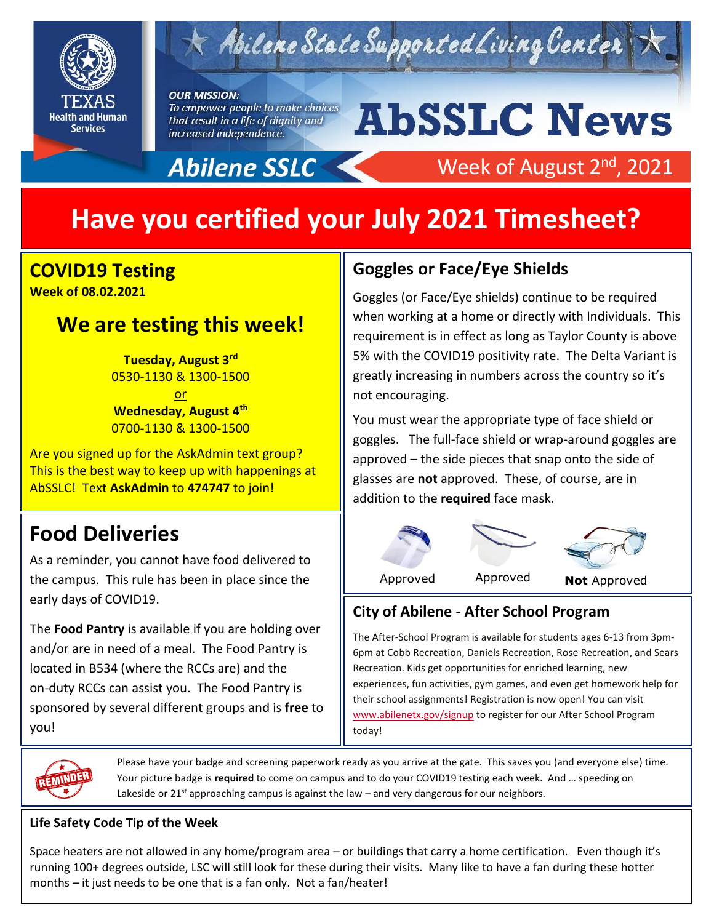

# $\kappa$  Abilene State Supported Living Center

#### **OUR MISSION:**

To empower people to make choices that result in a life of dignity and increased independence.

Abilene SSLC

# **AbSSLC News**

Week of August 2<sup>nd</sup>, 2021

# **Have you certified your July 2021 Timesheet?**

### **COVID19 Testing Week of 08.02.2021**

## **We are testing this week!**

**Tuesday, August 3rd** 0530-1130 & 1300-1500

or **Wednesday, August 4th** 0700-1130 & 1300-1500

Are you signed up for the AskAdmin text group? This is the best way to keep up with happenings at AbSSLC! Text **AskAdmin** to **474747** to join!

# **Food Deliveries**

As a reminder, you cannot have food delivered to the campus. This rule has been in place since the early days of COVID19.

The **Food Pantry** is available if you are holding over and/or are in need of a meal. The Food Pantry is located in B534 (where the RCCs are) and the on-duty RCCs can assist you. The Food Pantry is sponsored by several different groups and is **free** to you!

## **Goggles or Face/Eye Shields**

Goggles (or Face/Eye shields) continue to be required when working at a home or directly with Individuals. This requirement is in effect as long as Taylor County is above 5% with the COVID19 positivity rate. The Delta Variant is greatly increasing in numbers across the country so it's not encouraging.

approved – the side pieces that snap onto the side of You must wear the appropriate type of face shield or goggles. The full-face shield or wrap-around goggles are glasses are **not** approved. These, of course, are in addition to the **required** face mask.



## **City of Abilene - After School Program**

The After-School Program is available for students ages 6-13 from 3pm-6pm at Cobb Recreation, Daniels Recreation, Rose Recreation, and Sears Recreation. Kids get opportunities for enriched learning, new experiences, fun activities, gym games, and even get homework help for their school assignments! Registration is now open! You can visit [www.abilenetx.gov/signup](https://www.abilenetx.gov/signup) to register for our After School Program today!



Please have your badge and screening paperwork ready as you arrive at the gate. This saves you (and everyone else) time. Your picture badge is **required** to come on campus and to do your COVID19 testing each week. And … speeding on Lakeside or  $21^{st}$  approaching campus is against the law – and very dangerous for our neighbors.

### **Life Safety Code Tip of the Week**

Space heaters are not allowed in any home/program area – or buildings that carry a home certification. Even though it's running 100+ degrees outside, LSC will still look for these during their visits. Many like to have a fan during these hotter months – it just needs to be one that is a fan only. Not a fan/heater!